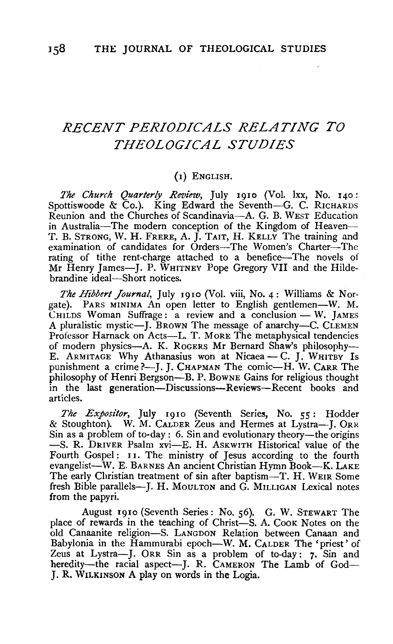# *RECENT PERIODICALS RELATING TO THEOLOGICAL STUDIES*

#### (I) ENGLISH.

*The Church Quarterly Review,* July 1910 (Vol. lxx, No. 140: Spottiswoode &  $Co.$ ). King Edward the Seventh-G. C. RICHARDS Reunion and the Churches of Scandinavia-A. G. B. WEST Education in Australia-The modern conception of the Kingdom of Heaven--T. B. STRONG, W. H. FRERE, A. J. TAIT, H. KELLY The training and examination of candidates for Orders-The Women's Charter-The rating of tithe rent-charge attached to a benefice-The novels of Mr Henry James-J. P. WHITNEY Pope Gregory VII and the Hildebrandine ideal-Short notices.

*The Hibbert Journal,* July 1910 (Vol. viii, No. 4: Williams & Norgate). PARS MINIMA An open letter to English gentlemen-W. M. CHILDS Woman Suffrage: a review and a conclusion  $-W$ . JAMES A pluralistic mystic-J. BROWN The message of anarchy-C. CLEMEN Professor Harnack on Acts-L. T. MoRE The metaphysical tendencies of modern physics-A. K. RoGERS Mr Bernard Shaw's philosophy-E. INCOMETH PHYSICS—A. K. KOGERS MIT BETHATH SHAWS PHILOSOPHY--. ARMITAGE WHY AUIARISHUS WON AL IVICACA - C. J. WHITBY IS<br>unishment a crime?-J. J. CHAPMAN The comic-H. W. CARR The punishment a crime?--J. J. CHAPMAN The comic-H. W. CARR The philosophy of Henri Bergson-B. P. Bowne Gains for religious thought in the last generation—Discussions—Reviews—Recent books and articles.

*The Expositor,* July 1910 (Seventh Series, No. 55: Hodder & Stoughton). W. M. CALDER Zeus and Hermes at Lystra-J. 0RR Sioughtom, W. M. Calber Leus and Trefiles at Lystia—J. ORR.<br>in as a problem of to-day : 6. Sin and evolutionary theory-the origins<br>-S. R. DRIVER Psalm xvi--F. H. Askwith Historical value of the -S. R. DRIVER Psalm xvi-E. H. ASKWITH Historical value of the Fourth Gospel: 11. The ministry of Jesus according to the fourth evangelist-W. E. BARNES An ancient Christian Hymn Book-K. LAKE The early Christian treatment of sin after baptism-T. H. WEIR Some fresh Bible parallels-J. H. MouLTON and G. MILLIGAN Lexical notes from the papyri.

August 1910 (Seventh Series: No. 56). G. W. STEWART The place of rewards in the teaching of Christ-S. A. CooK Notes on the old Canaanite religion-S. LANGDON Relation between Canaan and Babylonia in the Hammurabi epoch-W. M. CALDER The 'priest' of abytoma in the Hammulabi epoch-w. M. CALDER The priest of eus at Lystra--J. ORR Sin as a problem of to-day: 7. Sin and<br>eredity--the racial aspect-J. R. CAMERON The Lamb of Godheredity—the racial aspect—J. R. CAMERON The Lamb of God— $I$ . R. WILKINSON A play on words in the Logia.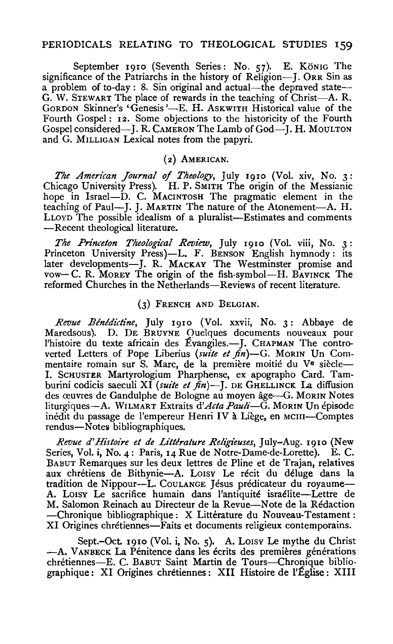## PERIODICALS RELATING TO THEOLOGICAL STUDIES 159

September 1910 (Seventh Series: No. 57). E. König The significance of the Patriarchs in the history of Religion-J. ORR Sin as a problem of to-day : 8. Sin original and actual-the depraved state-G. W. STEWART The place of rewards in the teaching of Christ-A. R. GORDON Skinner's 'Genesis'—E. H. ASKWITH Historical value of the Fourth Gospel: 12. Some objections to the historicity of the Fourth Gospel considered-J. R. CAMERON The Lamb of God-J. H. MouLTON and G. MILLIGAN Lexical notes from the papyri.

#### (2) AMERICAN.

*The American Journal of Theology,* July rgro (Vol. xiv, No. 3: Chicago University Press). H. P. SMITH The origin of the Messianic hope in Israel-D. C. MACINTOSH The pragmatic element in the teaching of Paul--J. J. MARTIN The nature of the Atonement-A. H. LLOYD The possible idealism of a pluralist-Estimates and comments -Recent theological literature.

The Princeton Theological Review, July 1910 (Vol. viii, No. 3: Princeton University Press)-L. F. BENSON English hymnody: its later developments-J. R. MACKAY The Westminster promise and vow-C. R. MoREY The origin of the fish-symbol-H. BAVINCK The reformed Churches in the Netherlands-Reviews of recent literature.

#### (3) FRENCH AND BELGIAN.

Revue Bénédictine, July 1910 (Vol. xxvii, No. 3: Abbaye de Maredsous). D. DE BRUYNE Ouelques documents nouveaux pour l'histoire du texte africain des Évangiles.—J. CHAPMAN The controverted Letters of Pope Liberius (suite et fin)-G. MORIN Un Commentaire romain sur S. Marc, de la première moitié du V<sup>e</sup> siècle-I. ScHUSTER Martyrologium Pharphense, ex apographo Card. Tamburini codicis saeculi XI (suite et fin)-J. DE GHELLINCK La diffusion des œuvres de Gandulphe de Bologne au moyen âge-G. MoRIN Notes liturgiques-A. WILMART Extraits *d'Acta Pauli-G.* MoRIN Un episode inedit du passage de l'empereur Henri IV a Liege, en MCIII-Comptes rendus-Notes bibliographiques.

*Revue d'Histoire et de Litt!ralure Religieuses,* July-Aug. rgro (New Series, Vol. i, No. 4: Paris, 14 Rue de Notre-Dame-de-Lorette). E. C. BABUT Remarques sur les deux lettres de Pline et de Trajan, relatives aux chrétiens de Bithynie-A. LOISY Le récit du déluge dans la tradition de Nippour--L. COULANGE Jésus prédicateur du royaume-A. Loisy Le sacrifice humain dans l'antiquité israélite--Lettre de M. Salomon Reinach au Directeur de la Revue-Note de la Redaction -Chronique bibliographique: X Littérature du Nouveau-Testament: XI Origines chrétiennes—Faits et documents religieux contemporains.

Sept.-Oct. 1910 (Vol. i, No. 5). A. Loisy Le mythe du Christ -A. VANBECK La Pénitence dans les écrits des premières générations chretiennes-E. C. BABUT Saint Martin de Tours-Chronique bibliographique : XI Origines chrétiennes : XII Histoire de l'Église : XIII